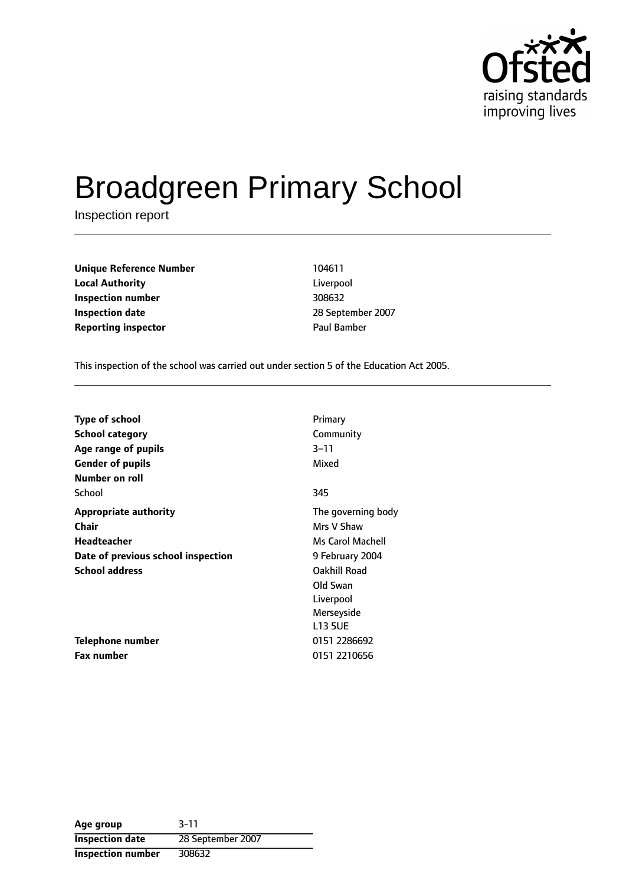

# Broadgreen Primary School

Inspection report

**Unique Reference Number** 104611 **Local Authority** Liverpool **Inspection number** 308632 **Inspection date** 2007 **Reporting inspector CONFIDENTIAL PAUL BAMBER** 

This inspection of the school was carried out under section 5 of the Education Act 2005.

| <b>Type of school</b>              | Primary            |
|------------------------------------|--------------------|
|                                    |                    |
| School category                    | Community          |
| Age range of pupils                | $3 - 11$           |
| <b>Gender of pupils</b>            | Mixed              |
| <b>Number on roll</b>              |                    |
| School                             | 345                |
| <b>Appropriate authority</b>       | The governing body |
| <b>Chair</b>                       | Mrs V Shaw         |
| Headteacher                        | Ms Carol Machell   |
| Date of previous school inspection | 9 February 2004    |
| <b>School address</b>              | Oakhill Road       |
|                                    | Old Swan           |
|                                    | Liverpool          |
|                                    | Merseyside         |
|                                    | <b>L13 5UE</b>     |
| Telephone number                   | 0151 2286692       |
| <b>Fax number</b>                  | 0151 2210656       |

**Age group** 3-11 **Inspection date** 28 September 2007 **Inspection number** 308632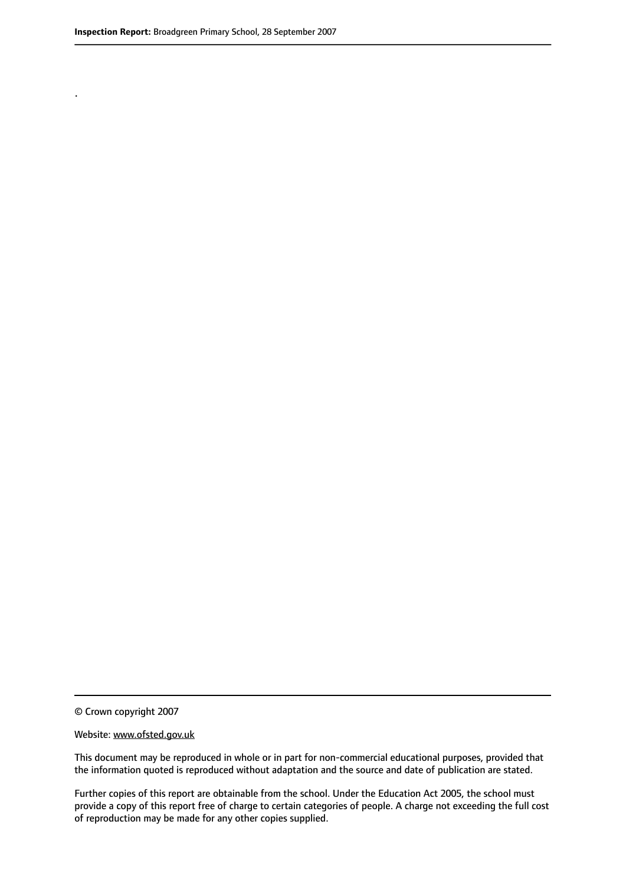.

© Crown copyright 2007

#### Website: www.ofsted.gov.uk

This document may be reproduced in whole or in part for non-commercial educational purposes, provided that the information quoted is reproduced without adaptation and the source and date of publication are stated.

Further copies of this report are obtainable from the school. Under the Education Act 2005, the school must provide a copy of this report free of charge to certain categories of people. A charge not exceeding the full cost of reproduction may be made for any other copies supplied.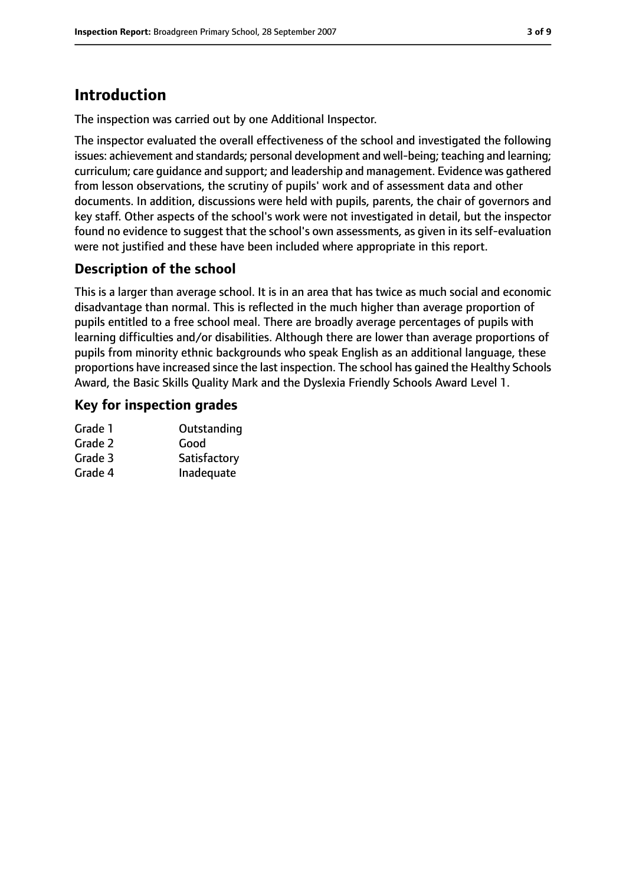# **Introduction**

The inspection was carried out by one Additional Inspector.

The inspector evaluated the overall effectiveness of the school and investigated the following issues: achievement and standards; personal development and well-being; teaching and learning; curriculum; care guidance and support; and leadership and management. Evidence was gathered from lesson observations, the scrutiny of pupils' work and of assessment data and other documents. In addition, discussions were held with pupils, parents, the chair of governors and key staff. Other aspects of the school's work were not investigated in detail, but the inspector found no evidence to suggest that the school's own assessments, as given in its self-evaluation were not justified and these have been included where appropriate in this report.

## **Description of the school**

This is a larger than average school. It is in an area that has twice as much social and economic disadvantage than normal. This is reflected in the much higher than average proportion of pupils entitled to a free school meal. There are broadly average percentages of pupils with learning difficulties and/or disabilities. Although there are lower than average proportions of pupils from minority ethnic backgrounds who speak English as an additional language, these proportions have increased since the last inspection. The school has gained the Healthy Schools Award, the Basic Skills Quality Mark and the Dyslexia Friendly Schools Award Level 1.

## **Key for inspection grades**

| Grade 1 | Outstanding  |
|---------|--------------|
| Grade 2 | Good         |
| Grade 3 | Satisfactory |
| Grade 4 | Inadequate   |
|         |              |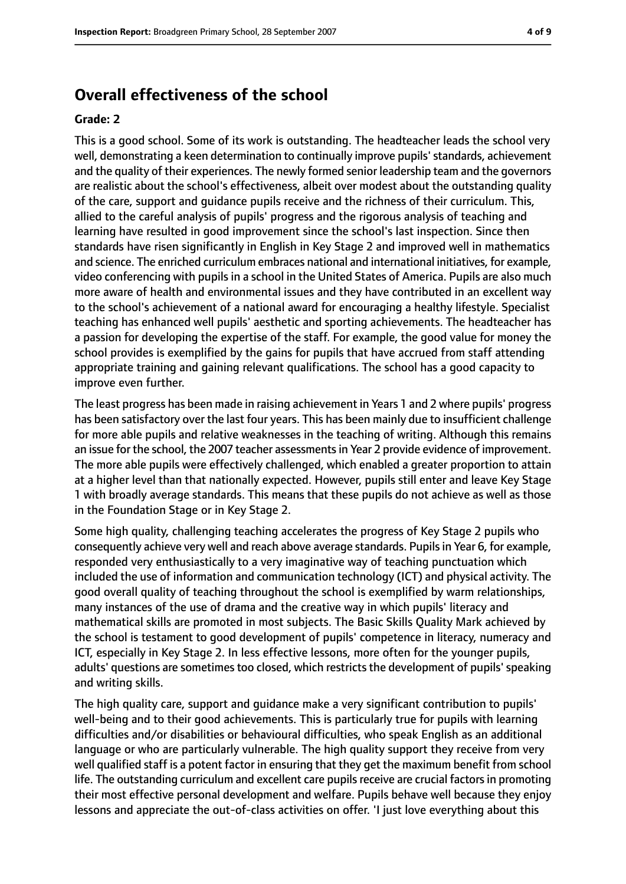## **Overall effectiveness of the school**

#### **Grade: 2**

This is a good school. Some of its work is outstanding. The headteacher leads the school very well, demonstrating a keen determination to continually improve pupils' standards, achievement and the quality of their experiences. The newly formed senior leadership team and the governors are realistic about the school's effectiveness, albeit over modest about the outstanding quality of the care, support and guidance pupils receive and the richness of their curriculum. This, allied to the careful analysis of pupils' progress and the rigorous analysis of teaching and learning have resulted in good improvement since the school's last inspection. Since then standards have risen significantly in English in Key Stage 2 and improved well in mathematics and science. The enriched curriculum embraces national and international initiatives, for example, video conferencing with pupils in a school in the United States of America. Pupils are also much more aware of health and environmental issues and they have contributed in an excellent way to the school's achievement of a national award for encouraging a healthy lifestyle. Specialist teaching has enhanced well pupils' aesthetic and sporting achievements. The headteacher has a passion for developing the expertise of the staff. For example, the good value for money the school provides is exemplified by the gains for pupils that have accrued from staff attending appropriate training and gaining relevant qualifications. The school has a good capacity to improve even further.

The least progress has been made in raising achievement in Years 1 and 2 where pupils' progress has been satisfactory over the last four years. This has been mainly due to insufficient challenge for more able pupils and relative weaknesses in the teaching of writing. Although this remains an issue for the school, the 2007 teacher assessments in Year 2 provide evidence of improvement. The more able pupils were effectively challenged, which enabled a greater proportion to attain at a higher level than that nationally expected. However, pupils still enter and leave Key Stage 1 with broadly average standards. This means that these pupils do not achieve as well as those in the Foundation Stage or in Key Stage 2.

Some high quality, challenging teaching accelerates the progress of Key Stage 2 pupils who consequently achieve very well and reach above average standards. Pupils in Year 6, for example, responded very enthusiastically to a very imaginative way of teaching punctuation which included the use of information and communication technology (ICT) and physical activity. The good overall quality of teaching throughout the school is exemplified by warm relationships, many instances of the use of drama and the creative way in which pupils' literacy and mathematical skills are promoted in most subjects. The Basic Skills Quality Mark achieved by the school is testament to good development of pupils' competence in literacy, numeracy and ICT, especially in Key Stage 2. In less effective lessons, more often for the younger pupils, adults' questions are sometimes too closed, which restricts the development of pupils' speaking and writing skills.

The high quality care, support and guidance make a very significant contribution to pupils' well-being and to their good achievements. This is particularly true for pupils with learning difficulties and/or disabilities or behavioural difficulties, who speak English as an additional language or who are particularly vulnerable. The high quality support they receive from very well qualified staff is a potent factor in ensuring that they get the maximum benefit from school life. The outstanding curriculum and excellent care pupils receive are crucial factors in promoting their most effective personal development and welfare. Pupils behave well because they enjoy lessons and appreciate the out-of-class activities on offer. 'I just love everything about this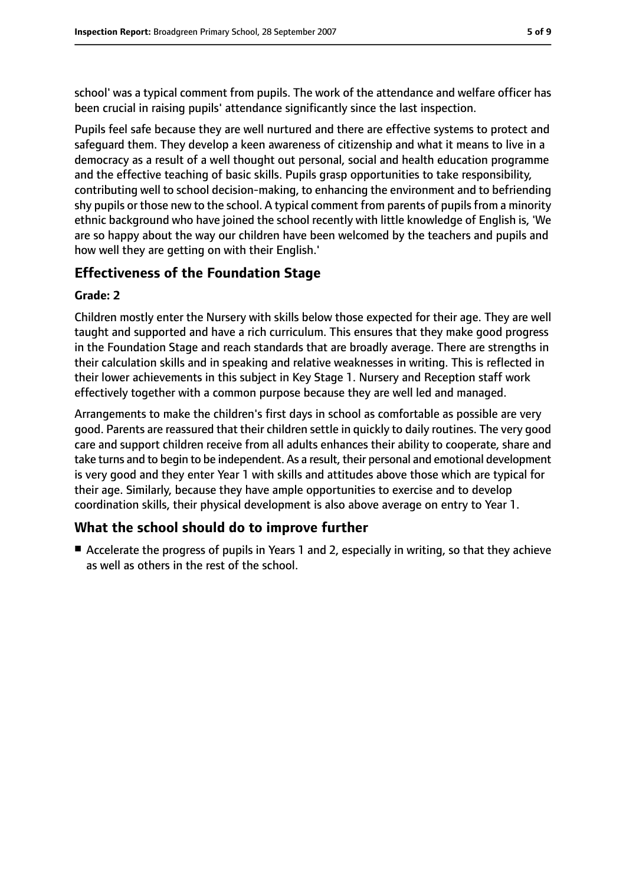school' was a typical comment from pupils. The work of the attendance and welfare officer has been crucial in raising pupils' attendance significantly since the last inspection.

Pupils feel safe because they are well nurtured and there are effective systems to protect and safeguard them. They develop a keen awareness of citizenship and what it means to live in a democracy as a result of a well thought out personal, social and health education programme and the effective teaching of basic skills. Pupils grasp opportunities to take responsibility, contributing well to school decision-making, to enhancing the environment and to befriending shy pupils or those new to the school. A typical comment from parents of pupils from a minority ethnic background who have joined the school recently with little knowledge of English is, 'We are so happy about the way our children have been welcomed by the teachers and pupils and how well they are getting on with their English.'

## **Effectiveness of the Foundation Stage**

#### **Grade: 2**

Children mostly enter the Nursery with skills below those expected for their age. They are well taught and supported and have a rich curriculum. This ensures that they make good progress in the Foundation Stage and reach standards that are broadly average. There are strengths in their calculation skills and in speaking and relative weaknesses in writing. This is reflected in their lower achievements in this subject in Key Stage 1. Nursery and Reception staff work effectively together with a common purpose because they are well led and managed.

Arrangements to make the children's first days in school as comfortable as possible are very good. Parents are reassured that their children settle in quickly to daily routines. The very good care and support children receive from all adults enhances their ability to cooperate, share and take turns and to begin to be independent. As a result, their personal and emotional development is very good and they enter Year 1 with skills and attitudes above those which are typical for their age. Similarly, because they have ample opportunities to exercise and to develop coordination skills, their physical development is also above average on entry to Year 1.

## **What the school should do to improve further**

■ Accelerate the progress of pupils in Years 1 and 2, especially in writing, so that they achieve as well as others in the rest of the school.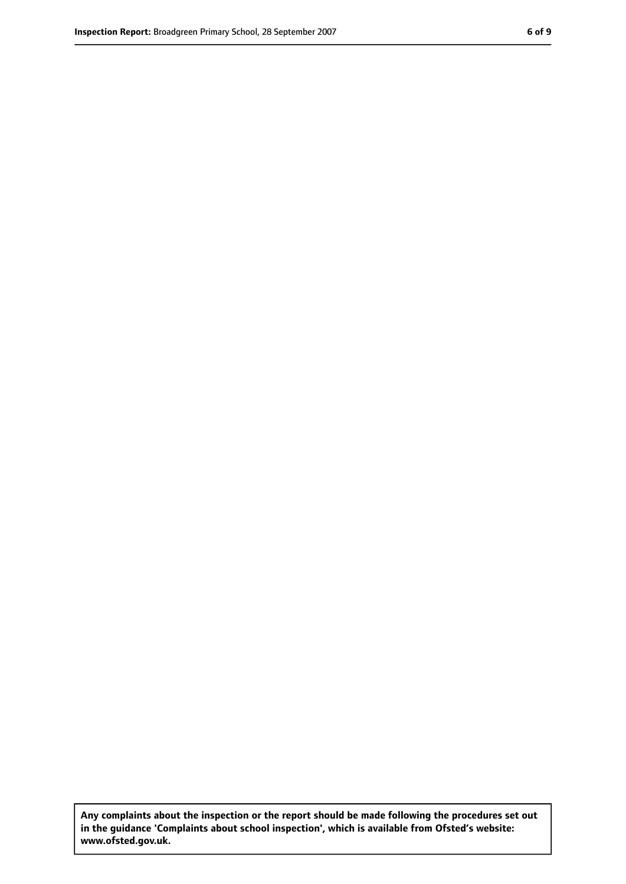**Any complaints about the inspection or the report should be made following the procedures set out in the guidance 'Complaints about school inspection', which is available from Ofsted's website: www.ofsted.gov.uk.**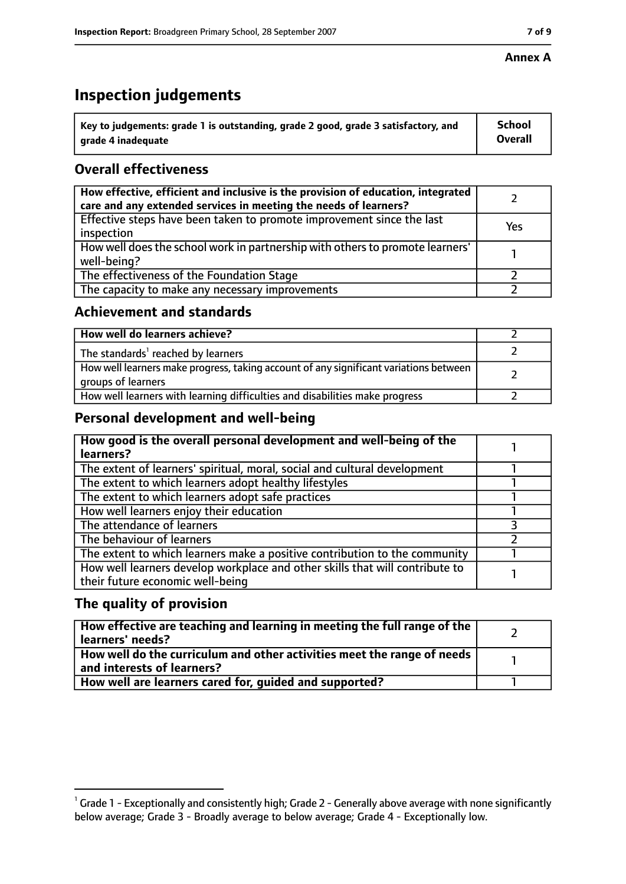#### **Annex A**

## **Inspection judgements**

| $^{\circ}$ Key to judgements: grade 1 is outstanding, grade 2 good, grade 3 satisfactory, and | School         |
|-----------------------------------------------------------------------------------------------|----------------|
| arade 4 inadequate                                                                            | <b>Overall</b> |

## **Overall effectiveness**

| How effective, efficient and inclusive is the provision of education, integrated<br>care and any extended services in meeting the needs of learners? |     |
|------------------------------------------------------------------------------------------------------------------------------------------------------|-----|
| Effective steps have been taken to promote improvement since the last<br>inspection                                                                  | Yes |
| How well does the school work in partnership with others to promote learners'<br>well-being?                                                         |     |
| The effectiveness of the Foundation Stage                                                                                                            |     |
| The capacity to make any necessary improvements                                                                                                      |     |

## **Achievement and standards**

| How well do learners achieve?                                                                               |  |
|-------------------------------------------------------------------------------------------------------------|--|
| The standards <sup>1</sup> reached by learners                                                              |  |
| How well learners make progress, taking account of any significant variations between<br>groups of learners |  |
| How well learners with learning difficulties and disabilities make progress                                 |  |

## **Personal development and well-being**

| How good is the overall personal development and well-being of the<br>learners?                                  |  |
|------------------------------------------------------------------------------------------------------------------|--|
| The extent of learners' spiritual, moral, social and cultural development                                        |  |
| The extent to which learners adopt healthy lifestyles                                                            |  |
| The extent to which learners adopt safe practices                                                                |  |
| How well learners enjoy their education                                                                          |  |
| The attendance of learners                                                                                       |  |
| The behaviour of learners                                                                                        |  |
| The extent to which learners make a positive contribution to the community                                       |  |
| How well learners develop workplace and other skills that will contribute to<br>their future economic well-being |  |

## **The quality of provision**

| How effective are teaching and learning in meeting the full range of the<br>learners' needs?          |  |
|-------------------------------------------------------------------------------------------------------|--|
| How well do the curriculum and other activities meet the range of needs<br>and interests of learners? |  |
| How well are learners cared for, quided and supported?                                                |  |

 $^1$  Grade 1 - Exceptionally and consistently high; Grade 2 - Generally above average with none significantly below average; Grade 3 - Broadly average to below average; Grade 4 - Exceptionally low.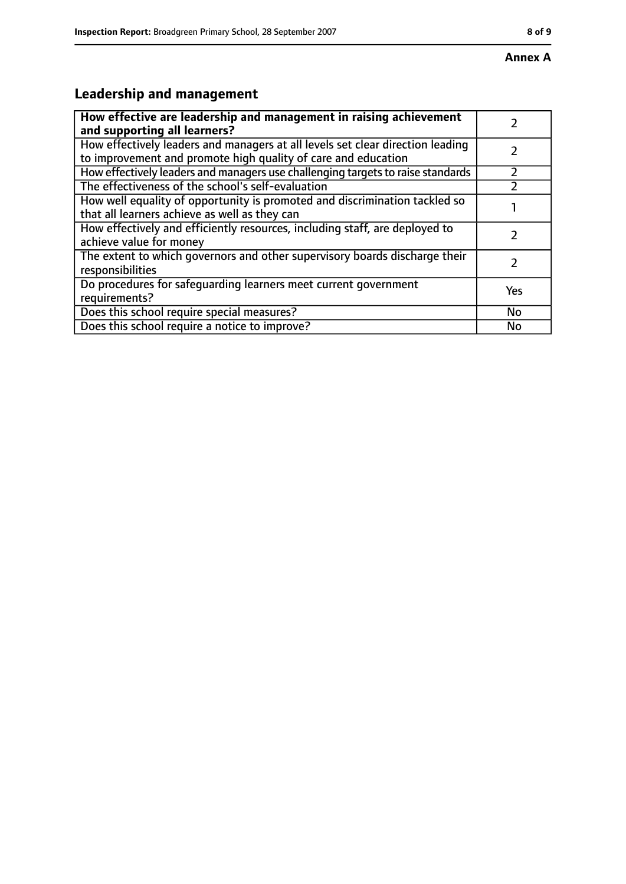#### **Annex A**

# **Leadership and management**

| How effective are leadership and management in raising achievement              |     |
|---------------------------------------------------------------------------------|-----|
| and supporting all learners?                                                    |     |
| How effectively leaders and managers at all levels set clear direction leading  |     |
| to improvement and promote high quality of care and education                   |     |
| How effectively leaders and managers use challenging targets to raise standards |     |
| The effectiveness of the school's self-evaluation                               |     |
| How well equality of opportunity is promoted and discrimination tackled so      |     |
| that all learners achieve as well as they can                                   |     |
| How effectively and efficiently resources, including staff, are deployed to     |     |
| achieve value for money                                                         |     |
| The extent to which governors and other supervisory boards discharge their      |     |
| responsibilities                                                                |     |
| Do procedures for safequarding learners meet current government                 | Yes |
| requirements?                                                                   |     |
| Does this school require special measures?                                      | No  |
| Does this school require a notice to improve?                                   | No  |